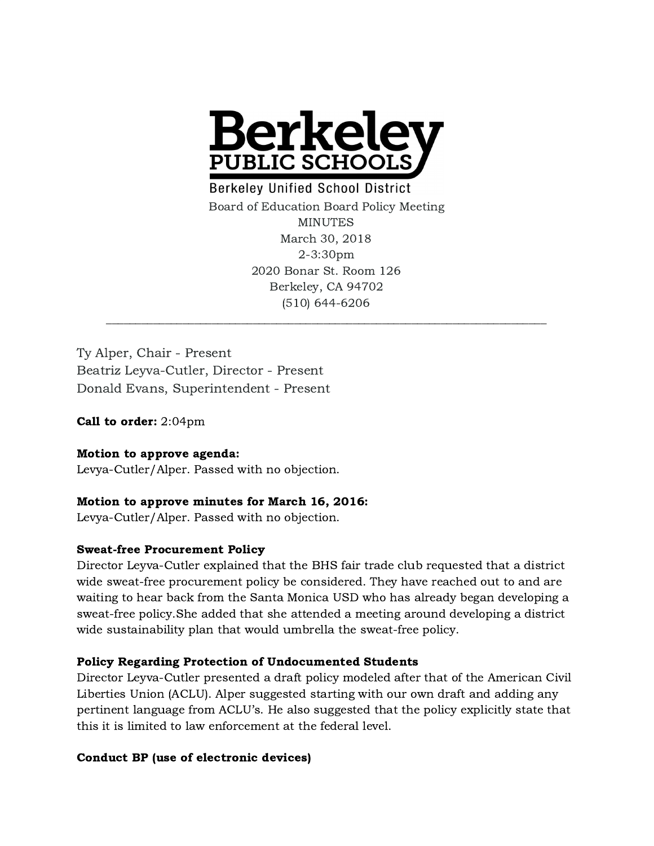

**Berkeley Unified School District** Board of Education Board Policy Meeting MINUTES March 30, 2018 2-3:30pm 2020 Bonar St. Room 126 Berkeley, CA 94702 (510) 644-6206

Ty Alper, Chair - Present Beatriz Leyva-Cutler, Director - Present Donald Evans, Superintendent - Present

Call to order: 2:04pm

# Motion to approve agenda:

Levya-Cutler/Alper. Passed with no objection.

## Motion to approve minutes for March 16, 2016:

Levya-Cutler/Alper. Passed with no objection.

## Sweat-free Procurement Policy

Director Leyva-Cutler explained that the BHS fair trade club requested that a district wide sweat-free procurement policy be considered. They have reached out to and are waiting to hear back from the Santa Monica USD who has already began developing a sweat-free policy.She added that she attended a meeting around developing a district wide sustainability plan that would umbrella the sweat-free policy.

## Policy Regarding Protection of Undocumented Students

Director Leyva-Cutler presented a draft policy modeled after that of the American Civil Liberties Union (ACLU). Alper suggested starting with our own draft and adding any pertinent language from ACLU's. He also suggested that the policy explicitly state that this it is limited to law enforcement at the federal level.

## Conduct BP (use of electronic devices)